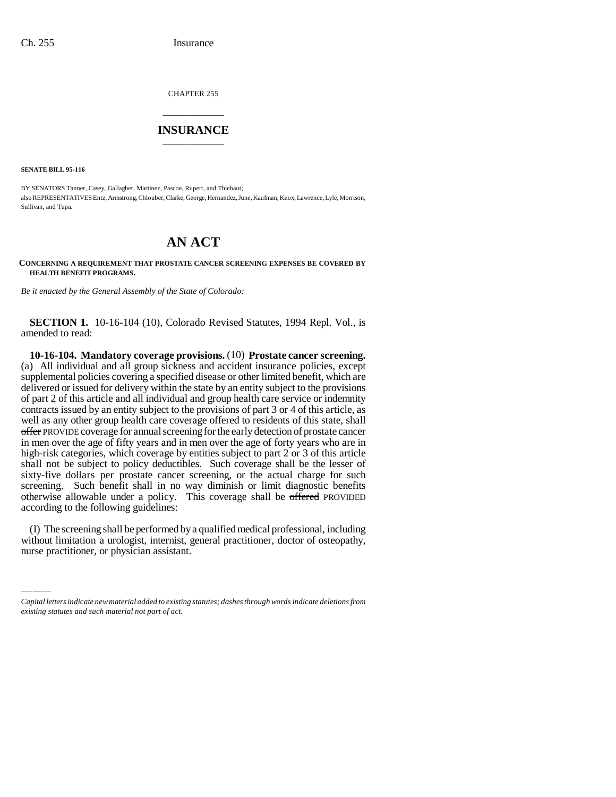CHAPTER 255

## \_\_\_\_\_\_\_\_\_\_\_\_\_\_\_ **INSURANCE** \_\_\_\_\_\_\_\_\_\_\_\_\_\_\_

**SENATE BILL 95-116**

BY SENATORS Tanner, Casey, Gallagher, Martinez, Pascoe, Rupert, and Thiebaut; also REPRESENTATIVES Entz, Armstrong, Chlouber, Clarke, George, Hernandez, June, Kaufman, Knox, Lawrence, Lyle, Morrison, Sullivan, and Tupa.

## **AN ACT**

**CONCERNING A REQUIREMENT THAT PROSTATE CANCER SCREENING EXPENSES BE COVERED BY HEALTH BENEFIT PROGRAMS.**

*Be it enacted by the General Assembly of the State of Colorado:*

**SECTION 1.** 10-16-104 (10), Colorado Revised Statutes, 1994 Repl. Vol., is amended to read:

according to the following guidelines: **10-16-104. Mandatory coverage provisions.** (10) **Prostate cancer screening.** (a) All individual and all group sickness and accident insurance policies, except supplemental policies covering a specified disease or other limited benefit, which are delivered or issued for delivery within the state by an entity subject to the provisions of part 2 of this article and all individual and group health care service or indemnity contracts issued by an entity subject to the provisions of part 3 or 4 of this article, as well as any other group health care coverage offered to residents of this state, shall offer PROVIDE coverage for annual screening for the early detection of prostate cancer in men over the age of fifty years and in men over the age of forty years who are in high-risk categories, which coverage by entities subject to part 2 or 3 of this article shall not be subject to policy deductibles. Such coverage shall be the lesser of sixty-five dollars per prostate cancer screening, or the actual charge for such screening. Such benefit shall in no way diminish or limit diagnostic benefits otherwise allowable under a policy. This coverage shall be offered PROVIDED

(I) The screening shall be performed by a qualified medical professional, including without limitation a urologist, internist, general practitioner, doctor of osteopathy, nurse practitioner, or physician assistant.

*Capital letters indicate new material added to existing statutes; dashes through words indicate deletions from existing statutes and such material not part of act.*